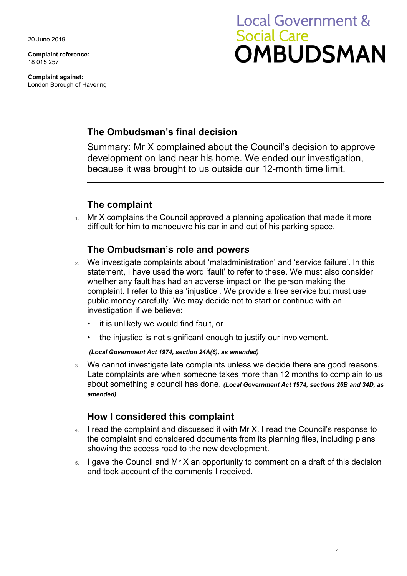20 June 2019

**Complaint reference:**  18 015 257

**Complaint against:**  London Borough of Havering

# **Local Government & Social Care OMBUDSMAN**

# **The Ombudsman's final decision**

Summary: Mr X complained about the Council's decision to approve development on land near his home. We ended our investigation, because it was brought to us outside our 12-month time limit.

## **The complaint**

 difficult for him to manoeuvre his car in and out of his parking space. 1. Mr X complains the Council approved a planning application that made it more

## **The Ombudsman's role and powers**

- 2. We investigate complaints about 'maladministration' and 'service failure'. In this statement, I have used the word 'fault' to refer to these. We must also consider whether any fault has had an adverse impact on the person making the complaint. I refer to this as 'injustice'. We provide a free service but must use public money carefully. We may decide not to start or continue with an investigation if we believe:
	- it is unlikely we would find fault, or
	- the injustice is not significant enough to justify our involvement.

#### *(Local Government Act 1974, section 24A(6), as amended)*

 Late complaints are when someone takes more than 12 months to complain to us 3. We cannot investigate late complaints unless we decide there are good reasons. about something a council has done. *(Local Government Act 1974, sections 26B and 34D, as amended)* 

## **How I considered this complaint**

- 4. I read the complaint and discussed it with Mr X. I read the Council's response to the complaint and considered documents from its planning files, including plans showing the access road to the new development.
- 5. I gave the Council and Mr X an opportunity to comment on a draft of this decision and took account of the comments I received.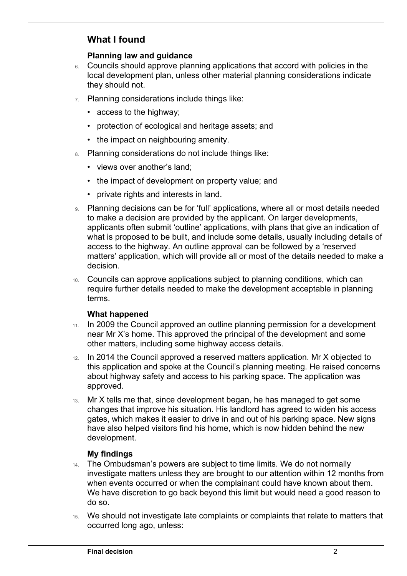# **What I found**

 $\overline{a}$ 

## **Planning law and guidance**

- 6. Councils should approve planning applications that accord with policies in the local development plan, unless other material planning considerations indicate they should not.
- 7. Planning considerations include things like:
	- access to the highway;
	- protection of ecological and heritage assets; and
	- the impact on neighbouring amenity.
- 8. Planning considerations do not include things like:
	- views over another's land;
	- the impact of development on property value; and
	- private rights and interests in land.
- 9. Planning decisions can be for 'full' applications, where all or most details needed to make a decision are provided by the applicant. On larger developments, applicants often submit 'outline' applications, with plans that give an indication of what is proposed to be built, and include some details, usually including details of access to the highway. An outline approval can be followed by a 'reserved matters' application, which will provide all or most of the details needed to make a decision.
- 10. Councils can approve applications subject to planning conditions, which can require further details needed to make the development acceptable in planning terms.

### **What happened**

- 11. In 2009 the Council approved an outline planning permission for a development near Mr X's home. This approved the principal of the development and some other matters, including some highway access details.
- 12. In 2014 the Council approved a reserved matters application. Mr X objected to this application and spoke at the Council's planning meeting. He raised concerns about highway safety and access to his parking space. The application was approved.
- have also helped visitors find his home, which is now hidden behind the new 13. Mr X tells me that, since development began, he has managed to get some changes that improve his situation. His landlord has agreed to widen his access gates, which makes it easier to drive in and out of his parking space. New signs development.

### **My findings**

- 14. The Ombudsman's powers are subject to time limits. We do not normally investigate matters unless they are brought to our attention within 12 months from when events occurred or when the complainant could have known about them. We have discretion to go back beyond this limit but would need a good reason to do so.
- 15. We should not investigate late complaints or complaints that relate to matters that occurred long ago, unless: